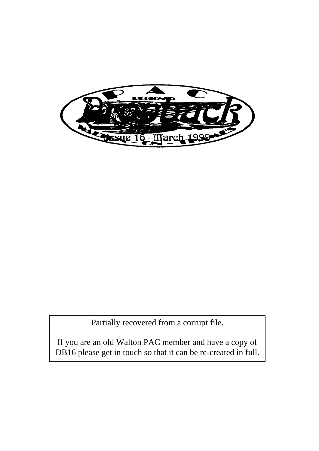

Partially recovered from a corrupt file.

If you are an old Walton PAC member and have a copy of DB16 please get in touch so that it can be re-created in full.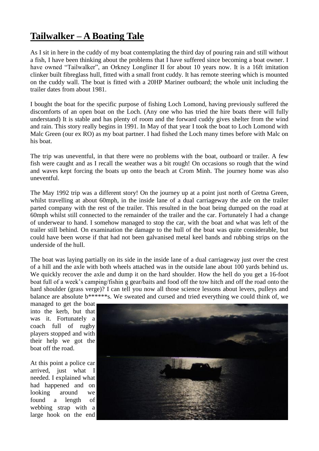## **Tailwalker – A Boating Tale**

As I sit in here in the cuddy of my boat contemplating the third day of pouring rain and still without a fish, I have been thinking about the problems that I have suffered since becoming a boat owner. I have owned "Tailwalker", an Orkney Longliner II for about 10 years now. It is a 16ft imitation clinker built fibreglass hull, fitted with a small front cuddy. It has remote steering which is mounted on the cuddy wall. The boat is fitted with a 20HP Mariner outboard; the whole unit including the trailer dates from about 1981.

I bought the boat for the specific purpose of fishing Loch Lomond, having previously suffered the discomforts of an open boat on the Loch. (Any one who has tried the hire boats there will fully understand) It is stable and has plenty of room and the forward cuddy gives shelter from the wind and rain. This story really begins in 1991. In May of that year I took the boat to Loch Lomond with Malc Green (our ex RO) as my boat partner. I had fished the Loch many times before with Malc on his boat.

The trip was uneventful, in that there were no problems with the boat, outboard or trailer. A few fish were caught and as I recall the weather was a bit rough! On occasions so rough that the wind and waves kept forcing the boats up onto the beach at Crom Minh. The journey home was also uneventful.

The May 1992 trip was a different story! On the journey up at a point just north of Gretna Green, whilst travelling at about 60mph, in the inside lane of a dual carriageway the axle on the trailer parted company with the rest of the trailer. This resulted in the boat being dumped on the road at 60mph whilst still connected to the remainder of the trailer and the car. Fortunately I had a change of underwear to hand. I somehow managed to stop the car, with the boat and what was left of the trailer still behind. On examination the damage to the hull of the boat was quite considerable, but could have been worse if that had not been galvanised metal keel bands and rubbing strips on the underside of the hull.

The boat was laying partially on its side in the inside lane of a dual carriageway just over the crest of a hill and the axle with both wheels attached was in the outside lane about 100 yards behind us. We quickly recover the axle and dump it on the hard shoulder. How the hell do you get a 16-foot boat full of a week"s camping/fishin g gear/baits and food off the tow hitch and off the road onto the hard shoulder (grass verge)? I can tell you now all those science lessons about levers, pulleys and balance are absolute b\*\*\*\*\*\*s. We sweated and cursed and tried everything we could think of, we

managed to get the boat into the kerb, but that was it. Fortunately a coach full of rugby players stopped and with their help we got the boat off the road.

At this point a police car arrived, just what I needed. I explained what had happened and on looking around we found a length of webbing strap with a large hook on the end

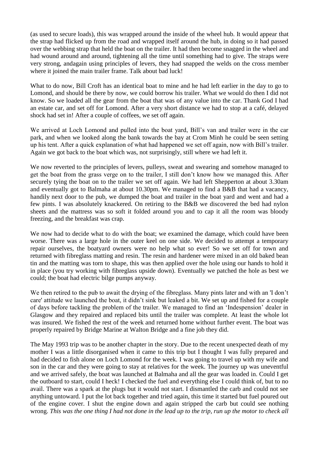(as used to secure loads), this was wrapped around the inside of the wheel hub. It would appear that the strap had flicked up from the road and wrapped itself around the hub, in doing so it had passed over the webbing strap that held the boat on the trailer. It had then become snagged in the wheel and had wound around and around, tightening all the time until something had to give. The straps were very strong, andagain using principles of levers, they had snapped the welds on the cross member where it joined the main trailer frame. Talk about bad luck!

What to do now, Bill Croft has an identical boat to mine and he had left earlier in the day to go to Lomond, and should be there by now, we could borrow his trailer. What we would do then I did not know. So we loaded all the gear from the boat that was of any value into the car. Thank God I had an estate car, and set off for Lomond. After a very short distance we had to stop at a café, delayed shock had set in! After a couple of coffees, we set off again.

We arrived at Loch Lomond and pulled into the boat yard, Bill"s van and trailer were in the car park, and when we looked along the bank towards the bay at Crom Minh he could be seen setting up his tent. After a quick explanation of what had happened we set off again, now with Bill"s trailer. Again we got back to the boat which was, not surprisingly, still where we had left it.

We now reverted to the principles of levers, pulleys, sweat and swearing and somehow managed to get the boat from the grass verge on to the trailer, I still don"t know how we managed this. After securely tying the boat on to the trailer we set off again. We had left Shepperton at about 3.30am and eventually got to Balmaha at about 10.30pm. We managed to find a B&B that had a vacancy, handily next door to the pub, we dumped the boat and trailer in the boat yard and went and had a few pints. I was absolutely knackered. On retiring to the B&B we discovered the bed had nylon sheets and the mattress was so soft it folded around you and to cap it all the room was bloody freezing, and the breakfast was crap.

We now had to decide what to do with the boat; we examined the damage, which could have been worse. There was a large hole in the outer keel on one side. We decided to attempt a temporary repair ourselves, the boatyard owners were no help what so ever! So we set off for town and returned with fibreglass matting and resin. The resin and hardener were mixed in an old baked bean tin and the matting was torn to shape, this was then applied over the hole using our hands to hold it in place (you try working with fibreglass upside down). Eventually we patched the hole as best we could; the boat had electric bilge pumps anyway.

We then retired to the pub to await the drying of the fibreglass. Many pints later and with an 'I don't care' attitude we launched the boat, it didn"t sink but leaked a bit. We set up and fished for a couple of days before tackling the problem of the trailer. We managed to find an "Indespension" dealer in Glasgow and they repaired and replaced bits until the trailer was complete. At least the whole lot was insured. We fished the rest of the week and returned home without further event. The boat was properly repaired by Bridge Marine at Walton Bridge and a fine job they did.

The May 1993 trip was to be another chapter in the story. Due to the recent unexpected death of my mother I was a little disorganised when it came to this trip but I thought I was fully prepared and had decided to fish alone on Loch Lomond for the week. I was going to travel up with my wife and son in the car and they were going to stay at relatives for the week. The journey up was uneventful and we arrived safely, the boat was launched at Balmaha and all the gear was loaded in. Could I get the outboard to start, could I heck! I checked the fuel and everything else I could think of, but to no avail. There was a spark at the plugs but it would not start. I dismantled the carb and could not see anything untoward. I put the lot back together and tried again, this time it started but fuel poured out of the engine cover. I shut the engine down and again stripped the carb but could see nothing wrong. *This was the one thing I had not done in the lead up to the trip, run up the motor to check all*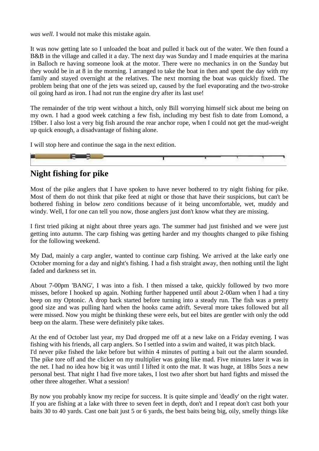*was well.* I would not make this mistake again.

It was now getting late so I unloaded the boat and pulled it back out of the water. We then found a B&B in the village and called it a day. The next day was Sunday and I made enquiries at the marina in Balloch re having someone look at the motor. There were no mechanics in on the Sunday but they would be in at 8 in the morning. I arranged to take the boat in then and spent the day with my family and stayed overnight at the relatives. The next morning the boat was quickly fixed. The problem being that one of the jets was seized up, caused by the fuel evaporating and the two-stroke oil going hard as iron. I had not run the engine dry after its last use!

The remainder of the trip went without a hitch, only Bill worrying himself sick about me being on my own. I had a good week catching a few fish, including my best fish to date from Lomond, a 19lber. I also lost a very big fish around the rear anchor rope, when I could not get the mud-weight up quick enough, a disadvantage of fishing alone.

I will stop here and continue the saga in the next edition.



## **Night fishing for pike**

Most of the pike anglers that I have spoken to have never bothered to try night fishing for pike. Most of them do not think that pike feed at night or those that have their suspicions, but can't be bothered fishing in below zero conditions because of it being uncomfortable, wet, muddy and windy. Well, I for one can tell you now, those anglers just don't know what they are missing.

I first tried piking at night about three years ago. The summer had just finished and we were just getting into autumn. The carp fishing was getting harder and my thoughts changed to pike fishing for the following weekend.

My Dad, mainly a carp angler, wanted to continue carp fishing. We arrived at the lake early one October morning for a day and night's fishing. I had a fish straight away, then nothing until the light faded and darkness set in.

About 7-00pm 'BANG', I was into a fish. I then missed a take, quickly followed by two more misses, before I hooked up again. Nothing further happened until about 2-00am when I had a tiny beep on my Optonic. A drop back started before turning into a steady run. The fish was a pretty good size and was pulling hard when the hooks came adrift. Several more takes followed but all were missed. Now you might be thinking these were eels, but eel bites are gentler with only the odd beep on the alarm. These were definitely pike takes.

At the end of October last year, my Dad dropped me off at a new lake on a Friday evening. I was fishing with his friends, all carp anglers. So I settled into a swim and waited, it was pitch black. I'd never pike fished the lake before but within 4 minutes of putting a bait out the alarm sounded. The pike tore off and the clicker on my multiplier was going like mad. Five minutes later it was in the net. I had no idea how big it was until I lifted it onto the mat. It was huge, at 18lbs 5ozs a new personal best. That night I had five more takes, I lost two after short but hard fights and missed the other three altogether. What a session!

By now you probably know my recipe for success. It is quite simple and 'deadly' on the right water. If you are fishing at a lake with three to seven feet in depth, don't and I repeat don't cast both your baits 30 to 40 yards. Cast one bait just 5 or 6 yards, the best baits being big, oily, smelly things like